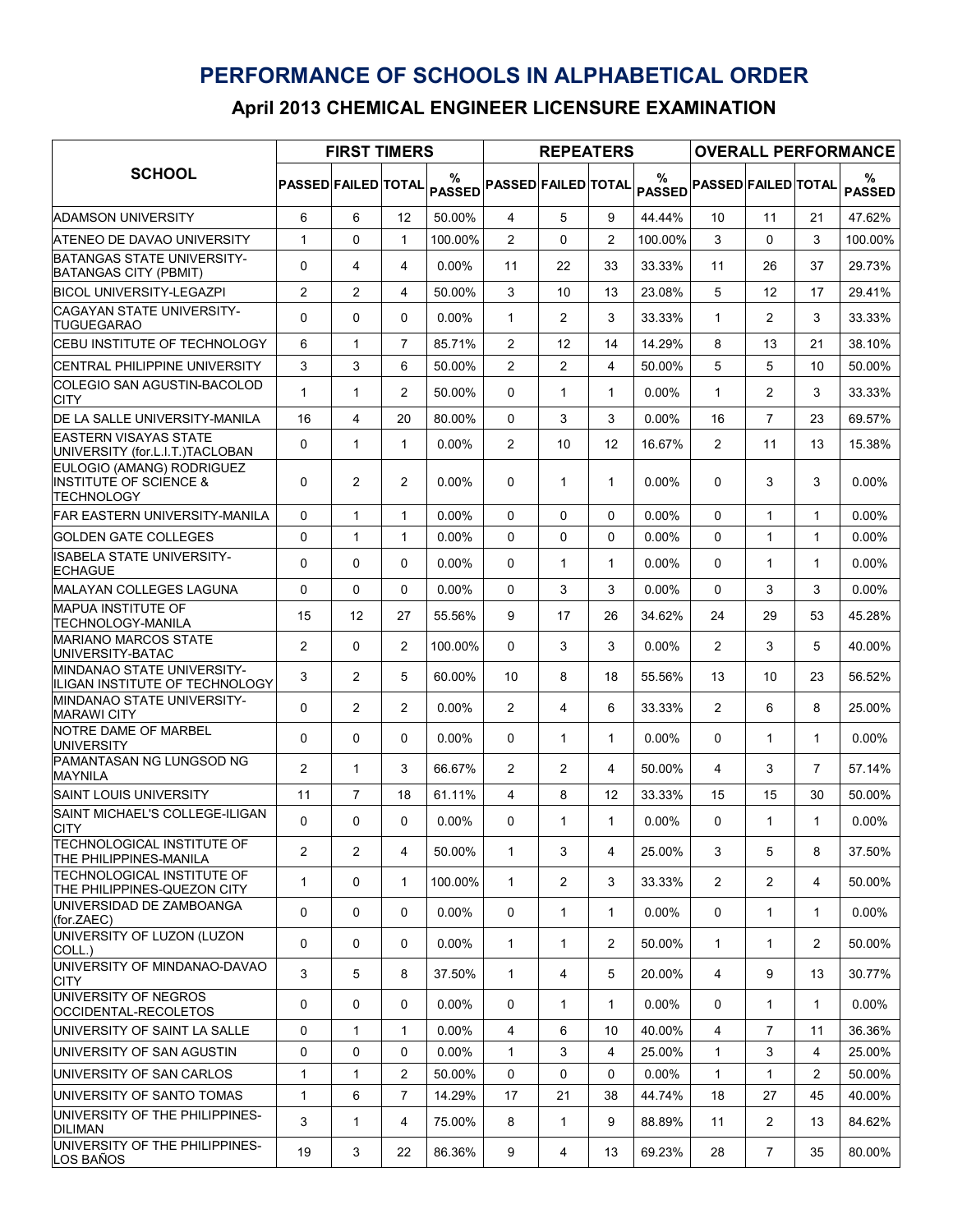## PERFORMANCE OF SCHOOLS IN ALPHABETICAL ORDER

April 2013 CHEMICAL ENGINEER LICENSURE EXAMINATION

| <b>SCHOOL</b>                                                                       | <b>FIRST TIMERS</b>        |                |                |                    |                            | <b>REPEATERS</b> |                |                    | <b>OVERALL PERFORMANCE</b> |                |                |                    |  |
|-------------------------------------------------------------------------------------|----------------------------|----------------|----------------|--------------------|----------------------------|------------------|----------------|--------------------|----------------------------|----------------|----------------|--------------------|--|
|                                                                                     | <b>PASSED FAILED TOTAL</b> |                |                | %<br><b>PASSED</b> | <b>PASSED FAILED TOTAL</b> |                  |                | %<br><b>PASSED</b> | <b>PASSED FAILED TOTAL</b> |                |                | %<br><b>PASSED</b> |  |
| <b>ADAMSON UNIVERSITY</b>                                                           | 6                          | 6              | 12             | 50.00%             | 4                          | 5                | 9              | 44.44%             | 10                         | 11             | 21             | 47.62%             |  |
| ATENEO DE DAVAO UNIVERSITY                                                          | $\mathbf{1}$               | 0              | $\mathbf{1}$   | 100.00%            | $\overline{c}$             | $\Omega$         | $\overline{c}$ | 100.00%            | 3                          | $\Omega$       | 3              | 100.00%            |  |
| BATANGAS STATE UNIVERSITY-<br><b>BATANGAS CITY (PBMIT)</b>                          | 0                          | 4              | 4              | $0.00\%$           | 11                         | 22               | 33             | 33.33%             | 11                         | 26             | 37             | 29.73%             |  |
| BICOL UNIVERSITY-LEGAZPI                                                            | $\overline{2}$             | $\overline{2}$ | 4              | 50.00%             | 3                          | 10               | 13             | 23.08%             | 5                          | 12             | 17             | 29.41%             |  |
| <b>CAGAYAN STATE UNIVERSITY-</b><br><b>TUGUEGARAO</b>                               | 0                          | 0              | 0              | 0.00%              | $\mathbf{1}$               | 2                | 3              | 33.33%             | 1                          | 2              | 3              | 33.33%             |  |
| <b>CEBU INSTITUTE OF TECHNOLOGY</b>                                                 | 6                          | $\mathbf{1}$   | $\overline{7}$ | 85.71%             | 2                          | 12               | 14             | 14.29%             | 8                          | 13             | 21             | 38.10%             |  |
| <b>CENTRAL PHILIPPINE UNIVERSITY</b>                                                | 3                          | 3              | 6              | 50.00%             | $\overline{c}$             | $\overline{2}$   | 4              | 50.00%             | 5                          | 5              | 10             | 50.00%             |  |
| COLEGIO SAN AGUSTIN-BACOLOD<br><b>CITY</b>                                          | $\mathbf{1}$               | $\mathbf{1}$   | 2              | 50.00%             | 0                          | $\mathbf{1}$     | $\mathbf{1}$   | $0.00\%$           | $\mathbf{1}$               | $\overline{2}$ | 3              | 33.33%             |  |
| <b>IDE LA SALLE UNIVERSITY-MANILA</b>                                               | 16                         | 4              | 20             | 80.00%             | 0                          | 3                | 3              | $0.00\%$           | 16                         | $\overline{7}$ | 23             | 69.57%             |  |
| <b>IEASTERN VISAYAS STATE</b><br>UNIVERSITY (for.L.I.T.)TACLOBAN                    | 0                          | $\mathbf{1}$   | $\mathbf{1}$   | 0.00%              | 2                          | 10               | 12             | 16.67%             | $\overline{2}$             | 11             | 13             | 15.38%             |  |
| EULOGIO (AMANG) RODRIGUEZ<br><b>INSTITUTE OF SCIENCE &amp;</b><br><b>TECHNOLOGY</b> | 0                          | $\overline{2}$ | $\overline{2}$ | $0.00\%$           | 0                          | 1                | 1              | $0.00\%$           | $\mathbf{0}$               | 3              | 3              | $0.00\%$           |  |
| <b>FAR EASTERN UNIVERSITY-MANILA</b>                                                | $\mathbf 0$                | $\mathbf{1}$   | $\mathbf{1}$   | $0.00\%$           | 0                          | $\Omega$         | $\Omega$       | $0.00\%$           | $\mathbf 0$                | $\mathbf{1}$   | $\mathbf{1}$   | $0.00\%$           |  |
| <b>GOLDEN GATE COLLEGES</b>                                                         | 0                          | $\mathbf{1}$   | $\mathbf{1}$   | 0.00%              | $\Omega$                   | $\Omega$         | $\Omega$       | $0.00\%$           | $\Omega$                   | $\mathbf{1}$   | $\mathbf{1}$   | $0.00\%$           |  |
| <b>ISABELA STATE UNIVERSITY-</b><br><b>ECHAGUE</b>                                  | $\mathbf 0$                | $\Omega$       | $\Omega$       | 0.00%              | 0                          | $\mathbf{1}$     | $\mathbf{1}$   | 0.00%              | $\mathbf{0}$               | 1              | $\mathbf{1}$   | 0.00%              |  |
| <b>MALAYAN COLLEGES LAGUNA</b>                                                      | 0                          | 0              | $\Omega$       | $0.00\%$           | 0                          | 3                | 3              | $0.00\%$           | 0                          | 3              | 3              | 0.00%              |  |
| <b>MAPUA INSTITUTE OF</b><br>TECHNOLOGY-MANILA                                      | 15                         | 12             | 27             | 55.56%             | 9                          | 17               | 26             | 34.62%             | 24                         | 29             | 53             | 45.28%             |  |
| <b>MARIANO MARCOS STATE</b><br>UNIVERSITY-BATAC                                     | $\overline{2}$             | 0              | 2              | 100.00%            | 0                          | 3                | 3              | $0.00\%$           | $\overline{2}$             | 3              | 5              | 40.00%             |  |
| <b>IMINDANAO STATE UNIVERSITY-</b><br>ILIGAN INSTITUTE OF TECHNOLOGY                | 3                          | $\overline{2}$ | 5              | 60.00%             | 10                         | 8                | 18             | 55.56%             | 13                         | 10             | 23             | 56.52%             |  |
| <b>MINDANAO STATE UNIVERSITY-</b><br><b>MARAWI CITY</b>                             | 0                          | $\overline{2}$ | 2              | 0.00%              | 2                          | 4                | 6              | 33.33%             | $\overline{2}$             | 6              | 8              | 25.00%             |  |
| NOTRE DAME OF MARBEL<br><b>UNIVERSITY</b>                                           | $\mathbf 0$                | 0              | 0              | 0.00%              | 0                          | $\mathbf{1}$     | $\mathbf{1}$   | $0.00\%$           | $\Omega$                   | $\mathbf{1}$   | $\mathbf{1}$   | $0.00\%$           |  |
| <b>PAMANTASAN NG LUNGSOD NG</b><br><b>MAYNILA</b>                                   | 2                          | $\mathbf{1}$   | 3              | 66.67%             | 2                          | $\overline{2}$   | 4              | 50.00%             | 4                          | 3              | $\overline{7}$ | 57.14%             |  |
| <b>SAINT LOUIS UNIVERSITY</b>                                                       | 11                         | 7              | 18             | 61.11%             | 4                          | 8                | 12             | 33.33%             | 15                         | 15             | 30             | 50.00%             |  |
| SAINT MICHAEL'S COLLEGE-ILIGAN<br><b>CITY</b>                                       | 0                          | 0              | 0              | $0.00\%$           | 0                          | $\mathbf{1}$     | $\mathbf{1}$   | $0.00\%$           | $\Omega$                   | $\mathbf{1}$   | $\mathbf{1}$   | $0.00\%$           |  |
| <b>ITECHNOLOGICAL INSTITUTE OF</b><br><b>THE PHILIPPINES-MANILA</b>                 | 2                          | $\overline{2}$ | 4              | 50.00%             | $\mathbf{1}$               | 3                | 4              | 25.00%             | 3                          | 5              | 8              | 37.50%             |  |
| TECHNOLOGICAL INSTITUTE OF<br>THE PHILIPPINES-QUEZON CITY                           | $\mathbf{1}$               | 0              | $\mathbf{1}$   | 100.00%            | $\mathbf{1}$               | $\overline{2}$   | 3              | 33.33%             | $\mathbf{2}$               | $\overline{2}$ | 4              | 50.00%             |  |
| UNIVERSIDAD DE ZAMBOANGA<br>(for.ZAEC)                                              | 0                          | $\Omega$       | $\mathbf{0}$   | $0.00\%$           | 0                          | $\mathbf{1}$     | $\mathbf{1}$   | $0.00\%$           | 0                          | $\mathbf{1}$   | $\mathbf 1$    | $0.00\%$           |  |
| UNIVERSITY OF LUZON (LUZON<br>COLL.)<br>UNIVERSITY OF MINDANAO-DAVAO                | 0                          | $\Omega$       | 0              | $0.00\%$           | $\mathbf{1}$               | $\mathbf{1}$     | $\overline{2}$ | 50.00%             | $\mathbf 1$                | $\mathbf{1}$   | $\overline{2}$ | 50.00%             |  |
| <b>CITY</b>                                                                         | 3                          | 5              | 8              | 37.50%             | $\mathbf{1}$               | 4                | 5              | 20.00%             | 4                          | 9              | 13             | 30.77%             |  |
| UNIVERSITY OF NEGROS<br>OCCIDENTAL-RECOLETOS                                        | 0                          | $\Omega$       | $\Omega$       | $0.00\%$           | 0                          | $\mathbf 1$      | $\mathbf{1}$   | $0.00\%$           | $\mathbf{0}$               | $\mathbf{1}$   | $\mathbf{1}$   | $0.00\%$           |  |
| UNIVERSITY OF SAINT LA SALLE                                                        | $\mathbf 0$                | $\mathbf{1}$   | $\mathbf{1}$   | $0.00\%$           | $\overline{4}$             | 6                | 10             | 40.00%             | 4                          | $\overline{7}$ | 11             | 36.36%             |  |
| IUNIVERSITY OF SAN AGUSTIN                                                          | 0                          | $\Omega$       | 0              | $0.00\%$           | $\mathbf{1}$               | 3                | 4              | 25.00%             | $\mathbf{1}$               | 3              | $\overline{4}$ | 25.00%             |  |
| UNIVERSITY OF SAN CARLOS                                                            | 1                          | $\mathbf{1}$   | 2              | 50.00%             | 0                          | 0                | 0              | $0.00\%$           | 1                          | $\mathbf{1}$   | $\overline{2}$ | 50.00%             |  |
| UNIVERSITY OF SANTO TOMAS                                                           | $\mathbf{1}$               | 6              | $\overline{7}$ | 14.29%             | 17                         | 21               | 38             | 44.74%             | 18                         | 27             | 45             | 40.00%             |  |
| UNIVERSITY OF THE PHILIPPINES-<br><b>DILIMAN</b>                                    | 3                          | $\mathbf{1}$   | 4              | 75.00%             | 8                          | $\mathbf{1}$     | 9              | 88.89%             | 11                         | $\overline{2}$ | 13             | 84.62%             |  |
| UNIVERSITY OF THE PHILIPPINES-<br>LOS BAÑOS                                         | 19                         | 3              | 22             | 86.36%             | 9                          | 4                | 13             | 69.23%             | 28                         | $\overline{7}$ | 35             | 80.00%             |  |